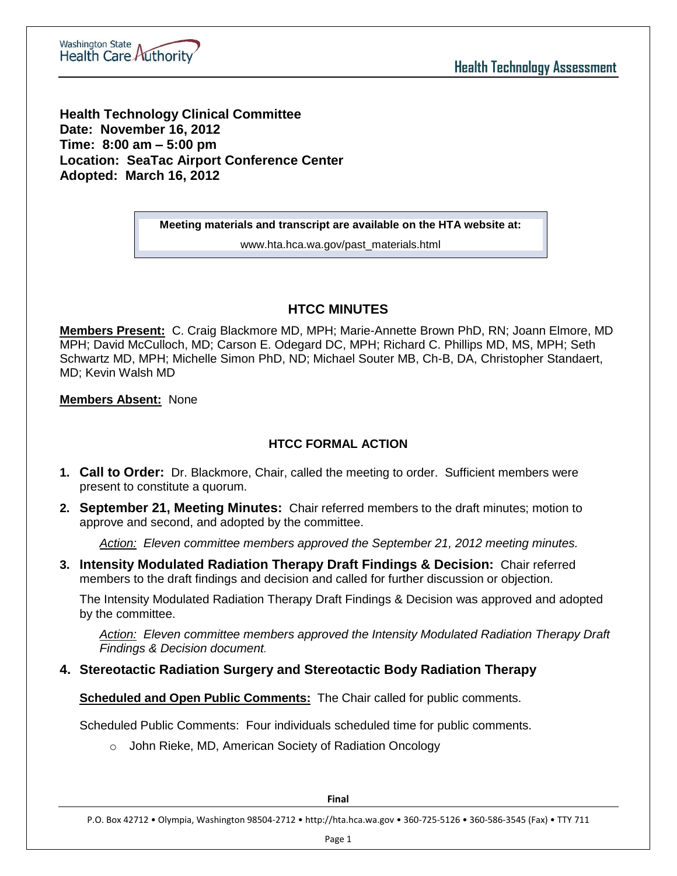

**Health Technology Clinical Committee Date: November 16, 2012 Time: 8:00 am – 5:00 pm Location: SeaTac Airport Conference Center Adopted: March 16, 2012**

**Meeting materials and transcript are available on the HTA website at:**

www.hta.hca.wa.gov/past\_materials.html

# **HTCC MINUTES**

**Members Present:** C. Craig Blackmore MD, MPH; Marie-Annette Brown PhD, RN; Joann Elmore, MD MPH; David McCulloch, MD; Carson E. Odegard DC, MPH; Richard C. Phillips MD, MS, MPH; Seth Schwartz MD, MPH; Michelle Simon PhD, ND; Michael Souter MB, Ch-B, DA, Christopher Standaert, MD; Kevin Walsh MD

**Members Absent:** None

# **HTCC FORMAL ACTION**

- **1. Call to Order:** Dr. Blackmore, Chair, called the meeting to order. Sufficient members were present to constitute a quorum.
- **2. September 21, Meeting Minutes:** Chair referred members to the draft minutes; motion to approve and second, and adopted by the committee.

*Action: Eleven committee members approved the September 21, 2012 meeting minutes.*

**3. Intensity Modulated Radiation Therapy Draft Findings & Decision:** Chair referred members to the draft findings and decision and called for further discussion or objection.

The Intensity Modulated Radiation Therapy Draft Findings & Decision was approved and adopted by the committee.

*Action: Eleven committee members approved the Intensity Modulated Radiation Therapy Draft Findings & Decision document.* 

## **4. Stereotactic Radiation Surgery and Stereotactic Body Radiation Therapy**

**Scheduled and Open Public Comments:** The Chair called for public comments.

Scheduled Public Comments: Four individuals scheduled time for public comments.

o John Rieke, MD, American Society of Radiation Oncology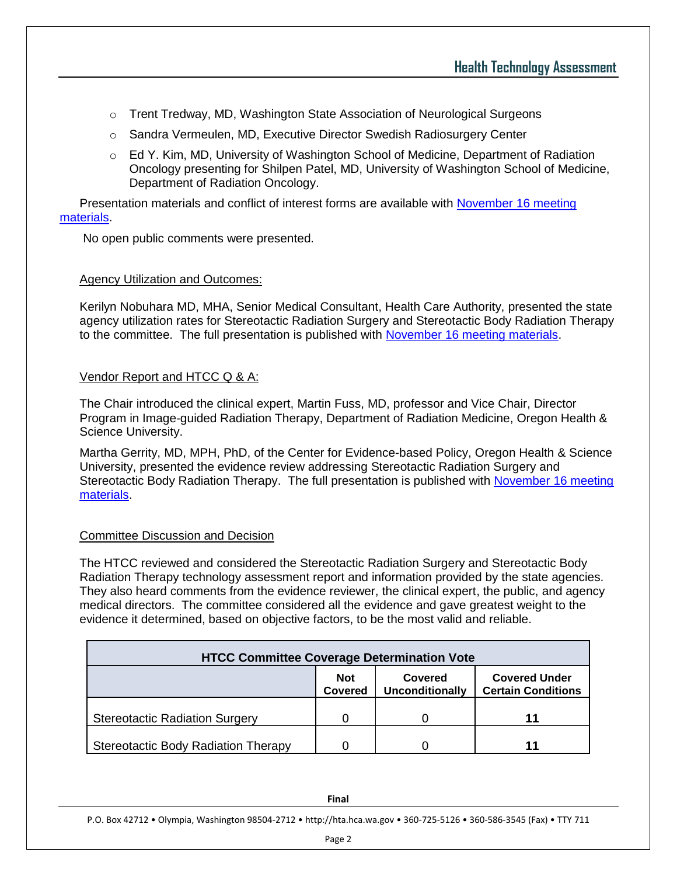- o Trent Tredway, MD, Washington State Association of Neurological Surgeons
- o Sandra Vermeulen, MD, Executive Director Swedish Radiosurgery Center
- $\circ$  Ed Y. Kim, MD, University of Washington School of Medicine, Department of Radiation Oncology presenting for Shilpen Patel, MD, University of Washington School of Medicine, Department of Radiation Oncology.

Presentation materials and conflict of interest forms are available with [November 16 meeting](http://www.hta.hca.wa.gov/past_materials.html)  [materials.](http://www.hta.hca.wa.gov/past_materials.html)

No open public comments were presented.

### Agency Utilization and Outcomes:

Kerilyn Nobuhara MD, MHA, Senior Medical Consultant, Health Care Authority, presented the state agency utilization rates for Stereotactic Radiation Surgery and Stereotactic Body Radiation Therapy to the committee. The full presentation is published with [November 16 meeting materials.](http://www.hta.hca.wa.gov/past_materials.html)

### Vendor Report and HTCC Q & A:

The Chair introduced the clinical expert, Martin Fuss, MD, professor and Vice Chair, Director Program in Image-guided Radiation Therapy, Department of Radiation Medicine, Oregon Health & Science University.

Martha Gerrity, MD, MPH, PhD, of the Center for Evidence-based Policy, Oregon Health & Science University, presented the evidence review addressing Stereotactic Radiation Surgery and Stereotactic Body Radiation Therapy. The full presentation is published with [November 16 meeting](http://www.hta.hca.wa.gov/past_materials.html)  [materials.](http://www.hta.hca.wa.gov/past_materials.html)

#### Committee Discussion and Decision

The HTCC reviewed and considered the Stereotactic Radiation Surgery and Stereotactic Body Radiation Therapy technology assessment report and information provided by the state agencies. They also heard comments from the evidence reviewer, the clinical expert, the public, and agency medical directors. The committee considered all the evidence and gave greatest weight to the evidence it determined, based on objective factors, to be the most valid and reliable.

| <b>HTCC Committee Coverage Determination Vote</b> |                              |                                   |                                                   |  |
|---------------------------------------------------|------------------------------|-----------------------------------|---------------------------------------------------|--|
|                                                   | <b>Not</b><br><b>Covered</b> | Covered<br><b>Unconditionally</b> | <b>Covered Under</b><br><b>Certain Conditions</b> |  |
| <b>Stereotactic Radiation Surgery</b>             |                              |                                   | 11                                                |  |
| Stereotactic Body Radiation Therapy               |                              |                                   | 11                                                |  |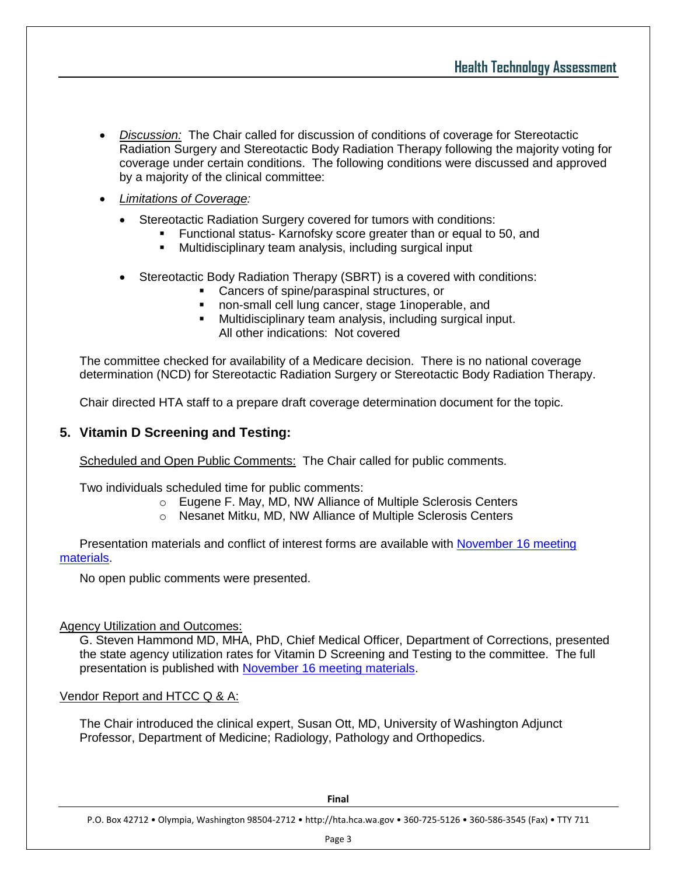- *Discussion:* The Chair called for discussion of conditions of coverage for Stereotactic Radiation Surgery and Stereotactic Body Radiation Therapy following the majority voting for coverage under certain conditions. The following conditions were discussed and approved by a majority of the clinical committee:
- *Limitations of Coverage:*
	- Stereotactic Radiation Surgery covered for tumors with conditions:
		- **Functional status- Karnofsky score greater than or equal to 50, and**
		- Multidisciplinary team analysis, including surgical input
	- Stereotactic Body Radiation Therapy (SBRT) is a covered with conditions:
		- **Cancers of spine/paraspinal structures, or**
		- non-small cell lung cancer, stage 1inoperable, and
		- Multidisciplinary team analysis, including surgical input. All other indications: Not covered

The committee checked for availability of a Medicare decision. There is no national coverage determination (NCD) for Stereotactic Radiation Surgery or Stereotactic Body Radiation Therapy.

Chair directed HTA staff to a prepare draft coverage determination document for the topic.

## **5. Vitamin D Screening and Testing:**

Scheduled and Open Public Comments: The Chair called for public comments.

Two individuals scheduled time for public comments:

- o Eugene F. May, MD, NW Alliance of Multiple Sclerosis Centers
- o Nesanet Mitku, MD, NW Alliance of Multiple Sclerosis Centers

Presentation materials and conflict of interest forms are available with [November 16 meeting](http://www.hta.hca.wa.gov/past_materials.html)  [materials.](http://www.hta.hca.wa.gov/past_materials.html)

No open public comments were presented.

## Agency Utilization and Outcomes:

G. Steven Hammond MD, MHA, PhD, Chief Medical Officer, Department of Corrections, presented the state agency utilization rates for Vitamin D Screening and Testing to the committee. The full presentation is published with [November 16 meeting materials.](http://www.hta.hca.wa.gov/past_materials.html)

## Vendor Report and HTCC Q & A:

The Chair introduced the clinical expert, Susan Ott, MD, University of Washington Adjunct Professor, Department of Medicine; Radiology, Pathology and Orthopedics.

**Final**

P.O. Box 42712 • Olympia, Washington 98504-2712 • http://hta.hca.wa.gov • 360-725-5126 • 360-586-3545 (Fax) • TTY 711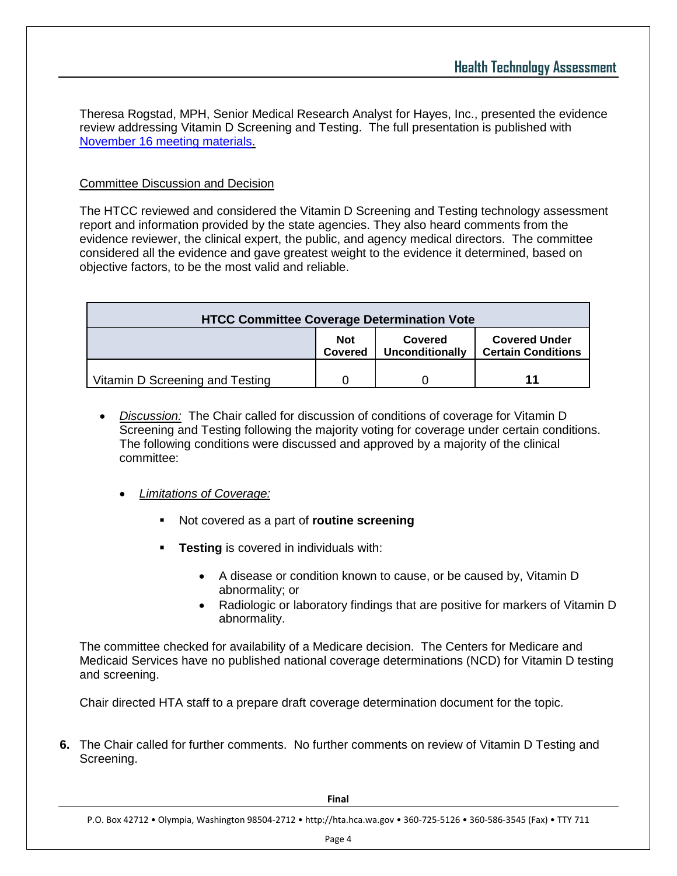Theresa Rogstad, MPH, Senior Medical Research Analyst for Hayes, Inc., presented the evidence review addressing Vitamin D Screening and Testing. The full presentation is published with [November 16 meeting materials.](http://www.hta.hca.wa.gov/past_materials.html)

## Committee Discussion and Decision

The HTCC reviewed and considered the Vitamin D Screening and Testing technology assessment report and information provided by the state agencies. They also heard comments from the evidence reviewer, the clinical expert, the public, and agency medical directors. The committee considered all the evidence and gave greatest weight to the evidence it determined, based on objective factors, to be the most valid and reliable.

| <b>HTCC Committee Coverage Determination Vote</b> |                       |                            |                                                   |  |
|---------------------------------------------------|-----------------------|----------------------------|---------------------------------------------------|--|
|                                                   | <b>Not</b><br>Covered | Covered<br>Unconditionally | <b>Covered Under</b><br><b>Certain Conditions</b> |  |
| Vitamin D Screening and Testing                   |                       |                            | 11                                                |  |

- *Discussion:* The Chair called for discussion of conditions of coverage for Vitamin D Screening and Testing following the majority voting for coverage under certain conditions. The following conditions were discussed and approved by a majority of the clinical committee:
	- *Limitations of Coverage:* 
		- Not covered as a part of **routine screening**
		- **Testing** is covered in individuals with:
			- A disease or condition known to cause, or be caused by, Vitamin D abnormality; or
			- Radiologic or laboratory findings that are positive for markers of Vitamin D abnormality.

The committee checked for availability of a Medicare decision. The Centers for Medicare and Medicaid Services have no published national coverage determinations (NCD) for Vitamin D testing and screening.

Chair directed HTA staff to a prepare draft coverage determination document for the topic.

**6.** The Chair called for further comments. No further comments on review of Vitamin D Testing and Screening.

P.O. Box 42712 • Olympia, Washington 98504-2712 • http://hta.hca.wa.gov • 360-725-5126 • 360-586-3545 (Fax) • TTY 711